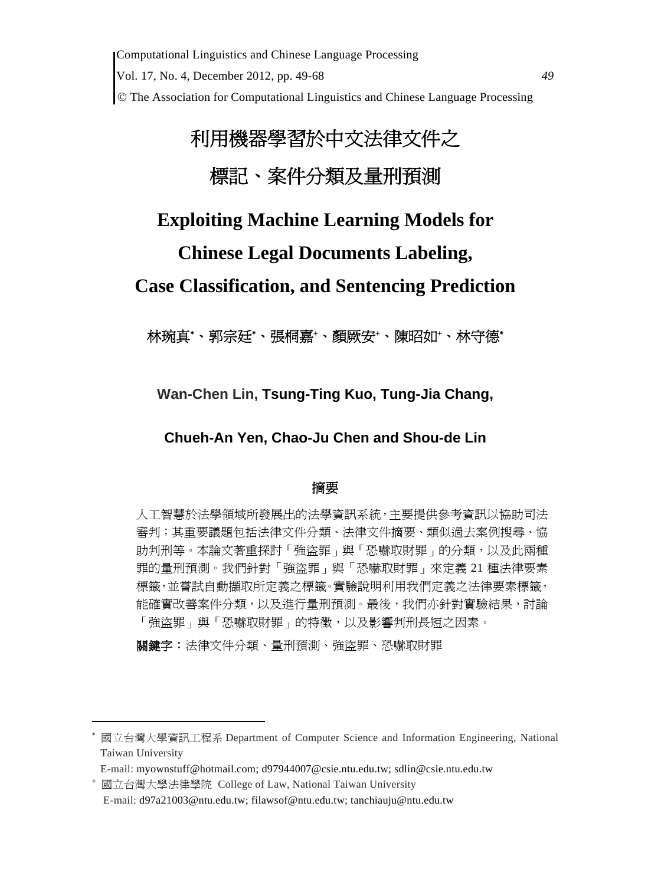# 利用機器學習於中文法律文件之 標記、案件分類及量刑預測

# **Exploiting Machine Learning Models for**

# **Chinese Legal Documents Labeling,**

# **Case Classification, and Sentencing Prediction**

林琬真\*、郭宗廷\*、張桐嘉\*、顏厥安\*、陳昭如\*、林守德\*

**Wan-Chen Lin, Tsung-Ting Kuo, Tung-Jia Chang,** 

**Chueh-An Yen, Chao-Ju Chen and Shou-de Lin**

# 摘要

人工智慧於法學領域所發展出的法學資訊系統,主要提供參考資訊以協助司法 審判;其重要議題包括法律文件分類、法律文件摘要、類似過去案例搜尋、協 助判刑等。本論文著重探討「強盜罪」與「恐嚇取財罪」的分類,以及此兩種 罪的量刑預測。我們針對「強盜罪」與「恐嚇取財罪」來定義 21 種法律要素 標籤,並嘗試自動擷取所定義之標籤。實驗說明利用我們定義之法律要素標籤, 能確實改善案件分類,以及進行量刑預測。最後,我們亦針對實驗結果,討論 「強盜罪」與「恐嚇取財罪」的特徵,以及影響判刑長短之因素。

關鍵字:法律文件分類、量刑預測、強盜罪、恐嚇取財罪

<sup>∗</sup> 國立台灣大學資訊工程系 Department of Computer Science and Information Engineering, National Taiwan University

E-mail: myownstuff@hotmail.com; d97944007@csie.ntu.edu.tw; sdlin@csie.ntu.edu.tw

<sup>+</sup> 國立台灣大學法律學院 College of Law, National Taiwan University E-mail: d97a21003@ntu.edu.tw; filawsof@ntu.edu.tw; tanchiauju@ntu.edu.tw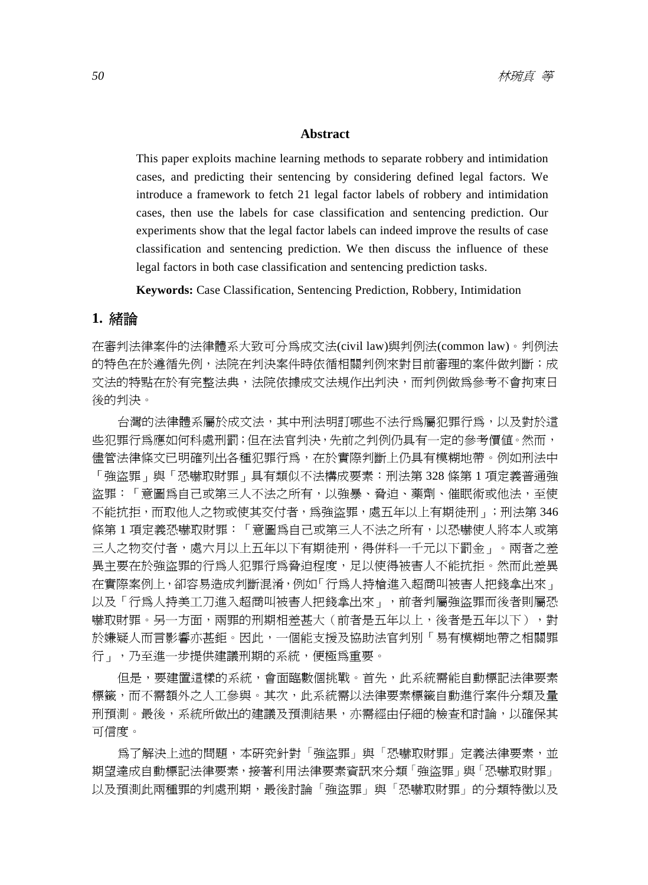#### **Abstract**

This paper exploits machine learning methods to separate robbery and intimidation cases, and predicting their sentencing by considering defined legal factors. We introduce a framework to fetch 21 legal factor labels of robbery and intimidation cases, then use the labels for case classification and sentencing prediction. Our experiments show that the legal factor labels can indeed improve the results of case classification and sentencing prediction. We then discuss the influence of these legal factors in both case classification and sentencing prediction tasks.

**Keywords:** Case Classification, Sentencing Prediction, Robbery, Intimidation

#### **1.** 緒論

在審判法律案件的法律體系大致可分為成文法(civil law)與判例法(common law)。判例法 的特色在於遵循先例,法院在判決案件時依循相關判例來對目前審理的案件做判斷;成 文法的特點在於有完整法典,法院依據成文法規作出判決,而判例做為參考不會拘束日 後的判決。

台灣的法律體系屬於成文法,其中刑法明訂哪些不法行為屬犯罪行為,以及對於這 些犯罪行為應如何科處刑罰;但在法官判決,先前之判例仍具有一定的參考價值。然而, 儘管法律條文已明確列出各種犯罪行為,在於實際判斷上仍具有模糊地帶。例如刑法中 「強盜罪」與「恐嚇取財罪」具有類似不法構成要素:刑法第 328 條第 1 項定義普通強 盜罪:「意圖為自己或第三人不法之所有,以強暴、脅迫、藥劑、催眠術或他法,至使 不能抗拒,而取他人之物或使其交付者,為強盜罪,處五年以上有期徒刑」;刑法第 346 條第1項定義恐嚇取財罪:「意圖為自己或第三人不法之所有,以恐嚇使人將本人或第 三人之物交付者,處六月以上五年以下有期徒刑,得併科一千元以下罰金」。兩者之差 異主要在於強盜罪的行為人犯罪行為脅迫程度,足以使得被害人不能抗拒。然而此差異 在實際案例上,卻容易造成判斷混淆,例如「行為人持槍進入超商叫被害人把錢拿出來」 以及「行為人持美工刀進入超商叫被害人把錢拿出來」,前者判屬強盜罪而後者則屬恐 嚇取財罪。另一方面,兩罪的刑期相差甚大(前者是五年以上,後者是五年以下),對 於嫌疑人而言影響亦甚鉅。因此,一個能支援及協助法官判別「易有模糊地帶之相關罪 行 , ,乃至進一步提供建議刑期的系統, 便極為重要。

但是,要建置這樣的系統,會面臨數個挑戰。首先,此系統需能自動標記法律要素 標籤,而不需額外之人工參與。其次,此系統需以法律要素標籤自動進行案件分類及量 刑預測。最後,系統所做出的建議及預測結果,亦需經由仔細的檢查和討論,以確保其 可信度。

爲了解決上述的問題,本研究針對「強盜罪」與「恐嚇取財罪」定義法律要素,並 期望達成自動標記法律要素,接著利用法律要素資訊來分類「強盜罪」與「恐嚇取財罪」 以及預測此兩種罪的判處刑期,最後討論「強盜罪」與「恐嚇取財罪」的分類特徵以及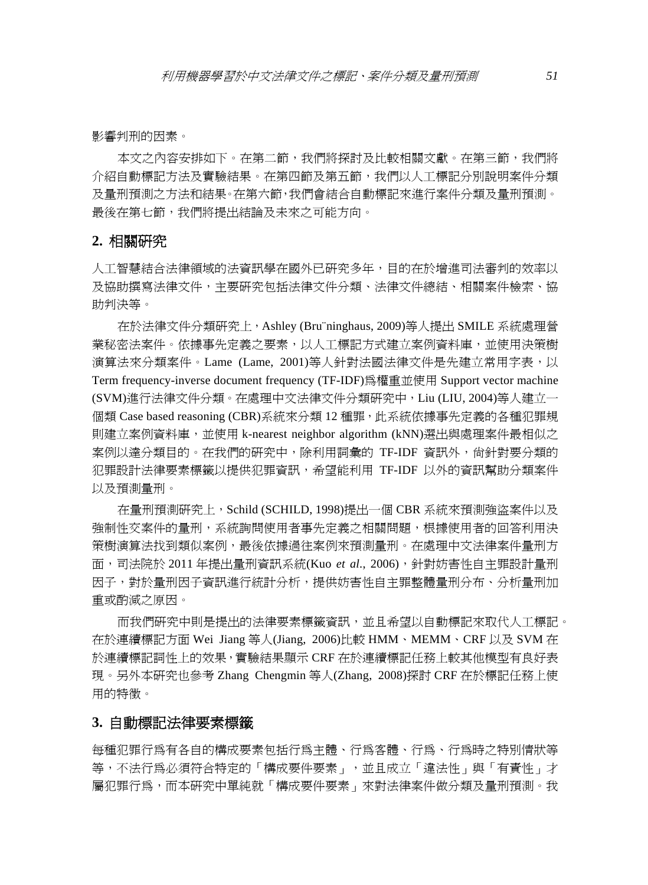影響判刑的因素。

本文之內容安排如下。在第二節,我們將探討及比較相關文獻。在第三節,我們將 介紹自動標記方法及實驗結果。在第四節及第五節,我們以人工標記分別說明案件分類 及量刑預測之方法和結果。在第六節,我們會結合自動標記來進行案件分類及量刑預測。 最後在第七節,我們將提出結論及未來之可能方向。

#### **2.** 相關研究

人工智慧結合法律領域的法資訊學在國外已研究多年,目的在於增進司法審判的效率以 及協助撰寫法律文件,主要研究包括法律文件分類、法律文件總結、相關案件檢索、協 助判決等。

在於法律文件分類研究上,Ashley (Bru¨ninghaus, 2009)等人提出 SMILE 系統處理營 業秘密法案件。依據事先定義之要素,以人工標記方式建立案例資料庫,並使用決策樹 演算法來分類案件。Lame (Lame, 2001)等人針對法國法律文件是先建立常用字表,以 Term frequency-inverse document frequency (TF-IDF)為權重並使用 Support vector machine (SVM)進行法律文件分類。在處理中文法律文件分類研究中,Liu (LIU, 2004)等人建立一 個類 Case based reasoning (CBR)系統來分類 12 種罪,此系統依據事先定義的各種犯罪規 則建立案例資料庫,並使用 k-nearest neighbor algorithm (kNN)選出與處理案件最相似之 案例以達分類目的。在我們的研究中,除利用詞彙的 TF-IDF 資訊外,尙針對要分類的 犯罪設計法律要素標籤以提供犯罪資訊,希望能利用 TF-IDF 以外的資訊幫助分類案件 以及預測量刑。

在量刑預測研究上,Schild (SCHILD, 1998)提出一個 CBR 系統來預測強盜案件以及 強制性交案件的量刑,系統詢問使用者事先定義之相關問題,根據使用者的回答利用決 策樹演算法找到類似案例,最後依據過往案例來預測量刑。在處理中文法律案件量刑方 面,司法院於 2011 年提出量刑資訊系統(Kuo *et al*., 2006),針對妨害性自主罪設計量刑 因子,對於量刑因子資訊進行統計分析,提供妨害性自主罪整體量刑分布、分析量刑加 重或酌減之原因。

而我們研究中則是提出的法律要素標籤資訊,並且希望以自動標記來取代人工標記。 在於連續標記方面 Wei Jiang 等人(Jiang, 2006)比較 HMM、MEMM、CRF 以及 SVM 在 於連續標記詞性上的效果,實驗結果顯示 CRF 在於連續標記任務上較其他模型有良好表 現。另外本研究也參考 Zhang Chengmin 等人(Zhang, 2008)探討 CRF 在於標記任務上使 用的特徵。

#### **3.** 自動標記法律要素標籤

每種犯罪行為有各自的構成要素包括行為主體、行為客體、行為、行為時之特別情狀等 等,不法行為必須符合特定的「構成要件要素」,並且成立「違法性」與「有責性」才 屬犯罪行為,而本研究中單純就「構成要件要素」來對法律案件做分類及量刑預測。我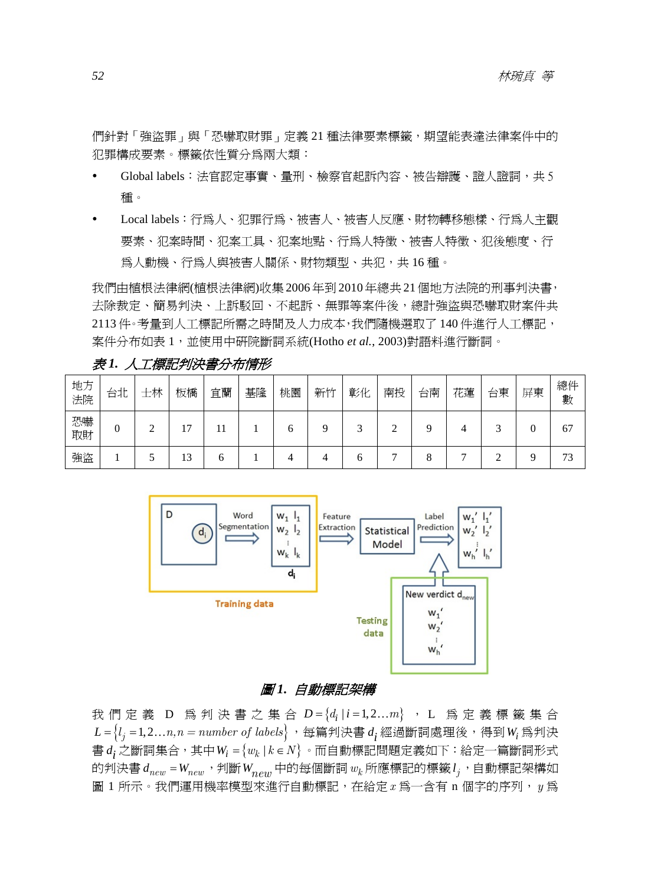們針對「強盜罪」與「恐嚇取財罪」定義 21 種法律要素標籤,期望能表達法律案件中的 犯罪構成要素。標籤依性質分為兩大類:

- y Global labels:法官認定事實、量刑、檢察官起訴內容、被告辯護、證人證詞,共 5 種。
- y Local labels:行為人、犯罪行為、被害人、被害人反應、財物轉移態樣、行為人主觀 要素、犯案時間、犯案工具、犯案地點、行為人特徵、被害人特徵、犯後態度、行 為人動機、行為人與被害人關係、財物類型、共犯,共 16種。

我們由植根法律網(植根法律網)收集 2006年到 2010年總共 21個地方法院的刑事判決書, 去除裁定、簡易判決、上訴駁回、不起訴、無罪等案件後,總計強盜與恐嚇取財案件共 2113 件。考量到人工標記所需之時間及人力成本,我們隨機選取了 140 件進行人工標記, 案件分布如表 1,並使用中研院斷詞系統(Hotho *et al.*, 2003)對語料進行斷詞。

| 地方<br>法院 | 台北       | 士林 | 板橋              | 宜蘭 | 基隆 | 桃園 | 新竹 | 彰化 | 南投 | 台南 | 花蓮 | 台東 | 屏東 | 總件<br>數 |
|----------|----------|----|-----------------|----|----|----|----|----|----|----|----|----|----|---------|
| 恐嚇<br>取財 | $\Omega$ | ◠  | −               |    |    | O  |    |    |    |    |    |    |    | 67      |
| 強盜       |          |    | $\bigcap$<br>13 | n  |    | 4  |    | 6  |    | x  |    |    |    | 73      |

表 *1.* 人工標記判決書分布情形



#### 圖 *1.* 自動標記架構

我們定義 D 為判決書之集合  $D = \{d_i | i = 1, 2...m\}$ , L 為定義標籤集合  $L = \{l_i = 1, 2... n, n = number of labels\}$ , 每篇判決書  $d_i$  經過斷詞處理後, 得到 W<sub>i</sub> 爲判決 書 $d_i$ 之斷詞集合,其中 $W_i = \{w_k | k \in N\}$ 。而自動標記問題定義如下:給定一篇斷詞形式 的判決書  $d_{new} = W_{new}$ , 判斷 $W_{new}$ 中的每個斷詞 $w_k$ 所應標記的標籤 $l_j$ , 自動標記架構如 圖 1 所示。我們運用機率模型來進行自動標記,在給定*x* 為一含有 n 個字的序列,*y* 為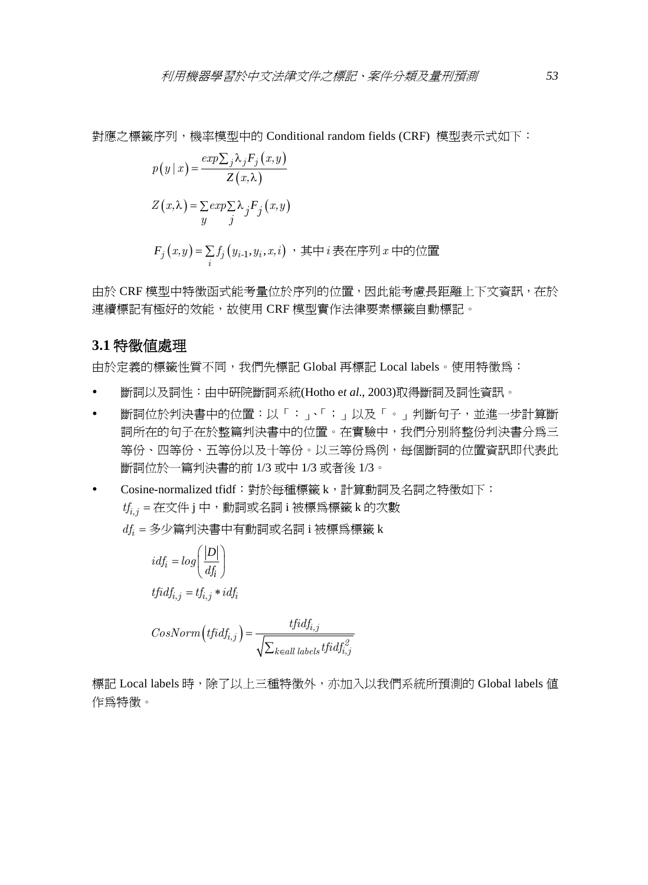對應之標籤序列,機率模型中的 Conditional random fields (CRF) 模型表示式如下:

$$
p(y | x) = \frac{\exp\sum_{j} \lambda_{j} F_{j}(x, y)}{Z(x, \lambda)}
$$
  
\n
$$
Z(x, \lambda) = \sum_{j} \exp\sum_{j} \lambda_{j} F_{j}(x, y)
$$
  
\n
$$
F_{j}(x, y) = \sum_{i} f_{j}(y_{i-1}, y_{i}, x, i) , \quad \text{if } \lambda \neq i \text{ is a } \text{if } \lambda \neq j \text{ and } \text{if } \lambda \neq j \text{ is a } \text{if } \lambda \neq j \text{ is a } \text{if } \lambda \neq j \text{ is a } \text{if } \lambda \neq j \text{ is a } \text{if } \lambda \neq j \text{ is a } \text{if } \lambda \neq j \text{ is a } \text{if } \lambda \neq j \text{ is a } \text{if } \lambda \neq j \text{ is a } \text{if } \lambda \neq j \text{ is a } \text{if } \lambda \neq j \text{ is a } \text{if } \lambda \neq j \text{ is a } \text{if } \lambda \neq j \text{ is a } \text{if } \lambda \neq j \text{ is a } \text{if } \lambda \neq j \text{ is a } \text{if } \lambda \neq j \text{ is a } \text{if } \lambda \neq j \text{ is a } \text{if } \lambda \neq j \text{ is a } \text{if } \lambda \neq j \text{ is a } \text{if } \lambda \neq j \text{ is a } \text{if } \lambda \neq j \text{ is a } \text{if } \lambda \neq j \text{ is a } \text{if } \lambda \neq j \text{ is a } \text{if } \lambda \neq j \text{ is a } \text{if } \lambda \neq j \text{ is a } \text{if } \lambda \neq j \text{ is a } \text{if } \lambda \neq j \text{ is a } \text{if } \lambda \neq j \text{ is a } \text{if } \lambda \neq j \text{ is a } \text{if } \lambda \neq j \text{ is a } \text{if } \lambda \neq j \text{ is a } \text{if } \lambda \neq j \text{ is a } \text{if } \lambda \neq j \text{ is a } \text{if } \lambda \neq j \text{ is a } \text{if } \lambda \neq j \text{ is a } \text{if } \lambda \neq j \text{ is a } \text{if } \lambda
$$

由於 CRF 模型中特徵函式能考量位於序列的位置,因此能考慮長距離上下文資訊,在於 連續標記有極好的效能,故使用 CRF 模型實作法律要素標籤自動標記。

#### **3.1** 特徵值處理

由於定義的標籤性質不同,我們先標記 Global 再標記 Local labels。使用特徵為:

- y 斷詞以及詞性:由中研院斷詞系統(Hotho e*t al*., 2003)取得斷詞及詞性資訊。
- 斷詞位於判決書中的位置:以「:、「;」以及「。」判斷句子,並進一步計算斷 詞所在的句子在於整篇判決書中的位置。在實驗中,我們分別將整份判決書分為三 等份、四等份、五等份以及十等份。以三等份為例,每個斷詞的位置資訊即代表此 斷詞位於一篇判決書的前 1/3 或中 1/3 或者後 1/3。
- y Cosine-normalized tfidf:對於每種標籤 k,計算動詞及名詞之特徵如下: *tfi,j* = 在文件 j 中,動詞或名詞 i 被標為標籤 k 的次數

*dfi* = 多少篇判決書中有動詞或名詞 i 被標為標籤 k

$$
idf_i = log\left(\frac{|D|}{df_i}\right)
$$
  
tfidf<sub>i,j</sub> = tf<sub>i,j</sub> \* idf<sub>i</sub>  

$$
CosNorm\left(tfidf_{i,j}\right) = \frac{tfidf_{i,j}}{\sqrt{\sum_{k \in all labels} tfidf_{i,j}}}
$$

標記 Local labels 時,除了以上三種特徵外,亦加入以我們系統所預測的 Global labels 値 作為特徵。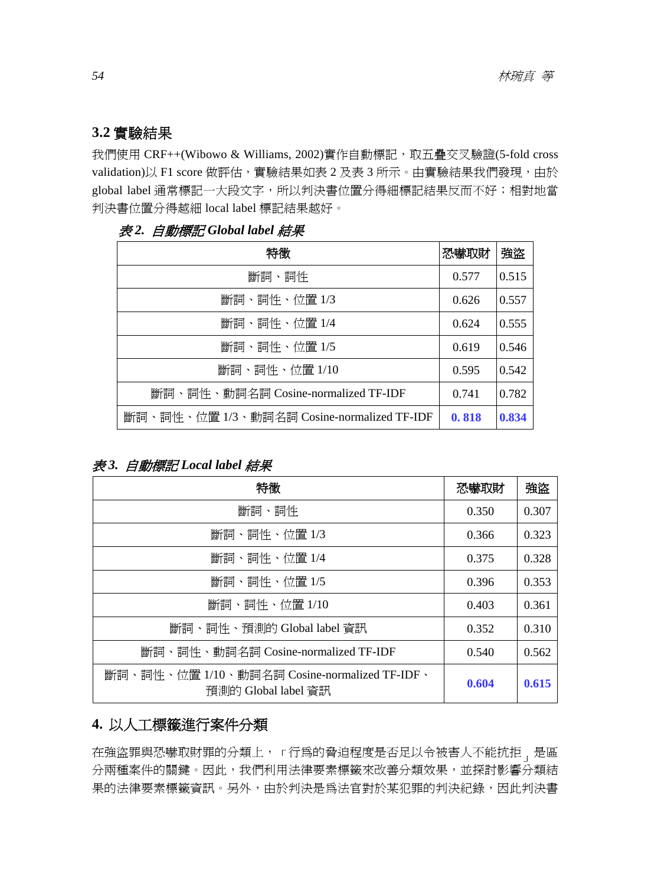# **3.2** 實驗結果

我們使用 CRF++(Wibowo & Williams, 2002)實作自動標記, 取五疊交叉驗證(5-fold cross validation)以 F1 score 做評估,實驗結果如表 2 及表 3 所示。由實驗結果我們發現,由於 global label 通常標記一大段文字,所以判決書位置分得細標記結果反而不好;相對地當 判決書位置分得越細 local label 標記結果越好。

| 特徵                                         | 恐嚇取財  | 強盗    |
|--------------------------------------------|-------|-------|
| 斷詞、詞性                                      | 0.577 | 0.515 |
| 斷詞、詞性、位置 1/3                               | 0.626 | 0.557 |
| 斷詞、詞性、位置 1/4                               | 0.624 | 0.555 |
| 斷詞、詞性、位置 1/5                               | 0.619 | 0.546 |
| 斷詞、詞性、位置 1/10                              | 0.595 | 0.542 |
| 斷詞、詞性、動詞名詞 Cosine-normalized TF-IDF        | 0.741 | 0.782 |
| 斷詞、詞性、位置 1/3、動詞名詞 Cosine-normalized TF-IDF | 0.818 | 0.834 |

表 *2.* 自動標記 *Global label* 結果

# 表 *3.* 自動標記 *Local label* 結果

| 特徵                                                                  | 恐嚇取財  | 強盜    |
|---------------------------------------------------------------------|-------|-------|
| 斷詞、詞性                                                               | 0.350 | 0.307 |
| 斷詞、詞性、位置 1/3                                                        | 0.366 | 0.323 |
| 斷詞、詞性、位置 1/4                                                        | 0.375 | 0.328 |
| 斷詞、詞性、位置 1/5                                                        | 0.396 | 0.353 |
| 斷詞、詞性、位置 1/10                                                       | 0.403 | 0.361 |
| 斷詞、詞性、預測的 Global label 資訊                                           | 0.352 | 0.310 |
| 斷詞、詞性、動詞名詞 Cosine-normalized TF-IDF                                 | 0.540 | 0.562 |
| 斷詞、詞性、位置 1/10、動詞名詞 Cosine-normalized TF-IDF、<br>預測的 Global label 資訊 | 0.604 | 0.615 |

# **4.** 以人工標籤進行案件分類

在強盜罪與恐嚇取財罪的分類上,「行為的脅迫程度是否足以令被害人不能抗拒,是區 分兩種案件的關鍵。因此,我們利用法律要素標籤來改善分類效果,並探討影響分類結 果的法律要素標籤資訊。另外,由於判決是為法官對於某犯罪的判決紀錄,因此判決書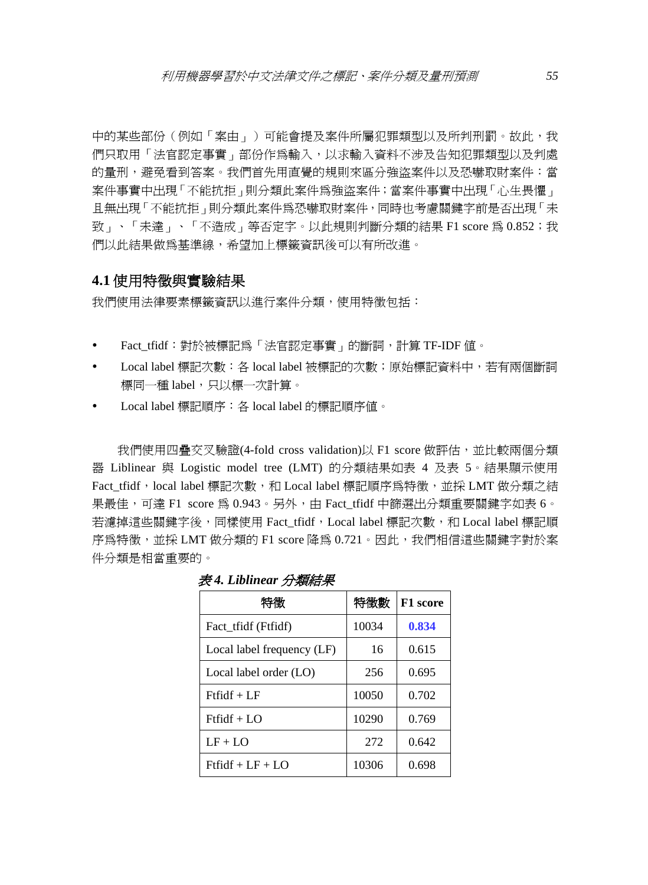中的某些部份(例如「案由」)可能會提及案件所屬犯罪類型以及所判刑罰。故此,我 們只取用「法官認定事實」部份作爲輸入,以求輸入資料不涉及告知犯罪類型以及判處 的量刑,避免看到答案。我們首先用直覺的規則來區分強盜案件以及恐嚇取財案件:當 案件事實中出現「不能抗拒」則分類此案件為強盜案件;當案件事實中出現「心生畏懼」 且無出現「不能抗拒」則分類此案件為恐嚇取財案件,同時也考慮關鍵字前是否出現「未 致」、「未達」、「不造成」等否定字。以此規則判斷分類的結果 F1 score 為 0.852; 我 們以此結果做為基準線,希望加上標籤資訊後可以有所改進。

#### **4.1** 使用特徵與實驗結果

我們使用法律要素標籤資訊以進行案件分類,使用特徵包括:

- y Fact\_tfidf:對於被標記為「法官認定事實」的斷詞,計算 TF-IDF 值。
- y Local label 標記次數:各 local label 被標記的次數;原始標記資料中,若有兩個斷詞 標同一種 label, 只以標一次計算。
- Local label 標記順序: 各 local label 的標記順序値。

我們使用四疊交叉驗證(4-fold cross validation)以 F1 score 做評估, 並比較兩個分類 器 Liblinear 與 Logistic model tree (LMT) 的分類結果如表 4 及表 5。結果顯示使用 Fact tfidf,local label 標記次數,和 Local label 標記順序為特徵,並採 LMT 做分類之結 果最佳,可達 F1 score 為 0.943。另外,由 Fact\_tfidf 中篩選出分類重要關鍵字如表 6。 若濾掉這些關鍵字後,同樣使用 Fact\_tfidf,Local label 標記次數,和 Local label 標記順 序為特徵,並採 LMT 做分類的 F1 score 降為 0.721。因此,我們相信這些關鍵字對於案 件分類是相當重要的。

| 特徵                         | 特徵數   | F1 score |
|----------------------------|-------|----------|
| Fact tridf (Ftridf)        | 10034 | 0.834    |
| Local label frequency (LF) | 16    | 0.615    |
| Local label order (LO)     | 256   | 0.695    |
| $Ftfidf + LF$              | 10050 | 0.702    |
| $Ftfidf + LO$              | 10290 | 0.769    |
| $LF + LO$                  | 272   | 0.642    |
| $Ftfidf + LF + LO$         | 10306 | 0.698    |

表 *4. Liblinear* 分類結果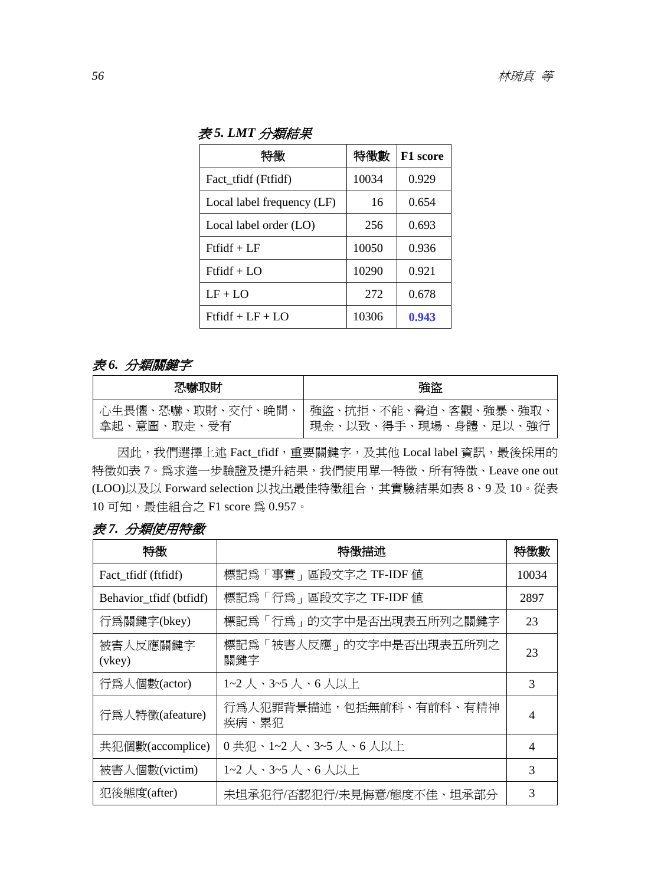表 *5. LMT* 分類結果

| 特徴                         | 特徵數   | F1 score |
|----------------------------|-------|----------|
| Fact tridf (Ftridf)        | 10034 | 0.929    |
| Local label frequency (LF) | 16    | 0.654    |
| Local label order (LO)     | 256   | 0.693    |
| $Ftfidf + LF$              | 10050 | 0.936    |
| $Ftfidf + LO$              | 10290 | 0.921    |
| $LF + LO$                  | 272   | 0.678    |
| $Ftfidf + LF + LO$         | 10306 | 0.943    |

### 表 *6.* 分類關鍵字

| 恐嚇取財        | 強盗                                                              |
|-------------|-----------------------------------------------------------------|
| 拿起、意圖、取走、受有 | 心生畏懼、恐嚇、取財、交付、晩間、 強盜、抗拒、不能、脅迫、客觀、強暴、強取、<br>現金、以致、得手、現場、身體、足以、強行 |

因此,我們選擇上述 Fact\_tfidf, 重要關鍵字, 及其他 Local label 資訊,最後採用的 特徵如表 7。為求進一步驗證及提升結果, 我們使用單一特徵、所有特徵、Leave one out (LOO)以及以 Forward selection 以找出最佳特徵組合, 其實驗結果如表 8、9 及 10。從表 10 可知,最佳組合之 F1 score 為 0.957。

| 表 7. 分類使用特徵 |
|-------------|

| 特徵                      | 特徵描述                             | 特徵數            |
|-------------------------|----------------------------------|----------------|
| Fact tridf (ftridf)     | 標記爲「事實」區段文字之 TF-IDF 値            | 10034          |
| Behavior_tfidf (btfidf) | 標記為「行爲」區段文字之 TF-IDF 値            | 2897           |
| 行爲關鍵字(bkey)             | 標記爲「行爲」的文字中是否出現表五所列之關鍵字          | 23             |
| 被害人反應關鍵字<br>(vkey)      | 標記爲「被害人反應」的文字中是否出現表五所列之<br>關鍵字   | 23             |
| 行為人個數(actor)            | 1~2 人、3~5 人、6 人以上                | 3              |
| 行為人特徵(afeature)         | 行爲人犯罪背景描述,包括無前科、有前科、有精神<br>疾病、累犯 | $\overline{4}$ |
| 共犯個數(accomplice)        | 0共犯、1~2 人、3~5 人、6 人以上            | $\overline{4}$ |
| 被害人個數(victim)           | 1~2 人、3~5 人、6 人以上                | 3              |
| 犯後態度(after)             | 未坦承犯行/否認犯行/未見悔意/態度不佳、坦承部分        | 3              |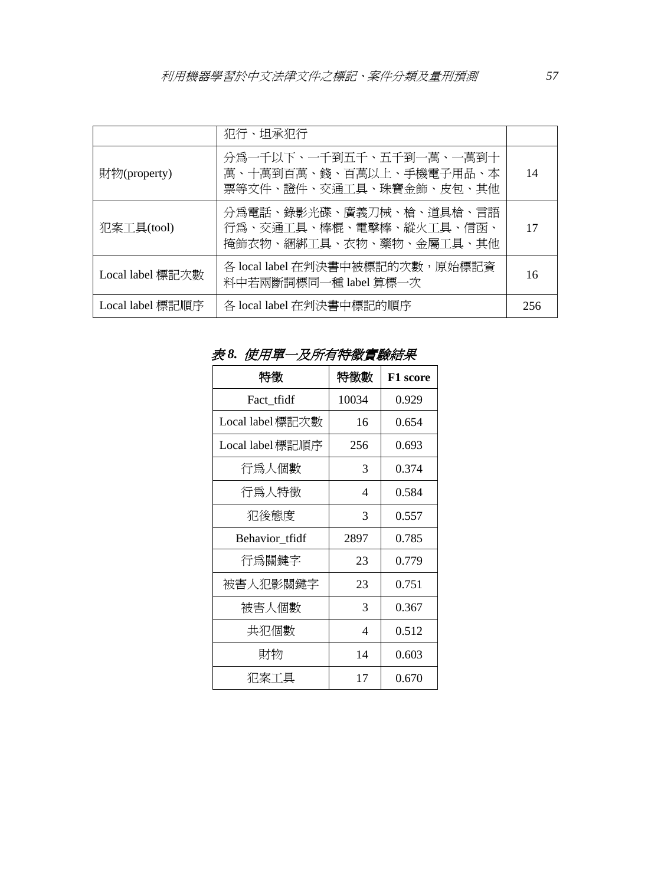|                  | 犯行、坦承犯行                                                                       |     |
|------------------|-------------------------------------------------------------------------------|-----|
| 財物(property)     | 分爲一千以下、一千到五千、五千到一萬、一萬到十<br>萬、十萬到百萬、錢、百萬以上、手機電子用品、本<br>票等文件、證件、交通工具、珠寶金飾、皮包、其他 | 14  |
| 犯案工具(tool)       | 分爲電話、錄影光碟、廣義刀械、槍、道具槍、言語<br>行爲、交通工具、棒棍、電擊棒、縱火工具、信函、<br>掩飾衣物、綑綁工具、衣物、藥物、金屬工具、其他 | 17  |
| Local label 標記次數 | 各 local label 在判決書中被標記的次數, 原始標記資<br>料中若兩斷詞標同一種 label 算標一次                     | 16  |
| Local label 標記順序 | 各 local label 在判決書中標記的順序                                                      | 256 |

表 *8.* 使用單一及所有特徵實驗結果

| 特徵               | 特徵數   | <b>F1</b> score |
|------------------|-------|-----------------|
| Fact_tfidf       | 10034 | 0.929           |
| Local label 標記次數 | 16    | 0.654           |
| Local label 標記順序 | 256   | 0.693           |
| 行爲人個數            | 3     | 0.374           |
| 行爲人特徵            | 4     | 0.584           |
| 犯後態度             | 3     | 0.557           |
| Behavior tfidf   | 2897  | 0.785           |
| 行爲關鍵字            | 23    | 0.779           |
| 被害人犯影關鍵字         | 23    | 0.751           |
| 被害人個數            | 3     | 0.367           |
| 共犯個數             | 4     | 0.512           |
| 財物               | 14    | 0.603           |
| 犯案工具             | 17    | 0.670           |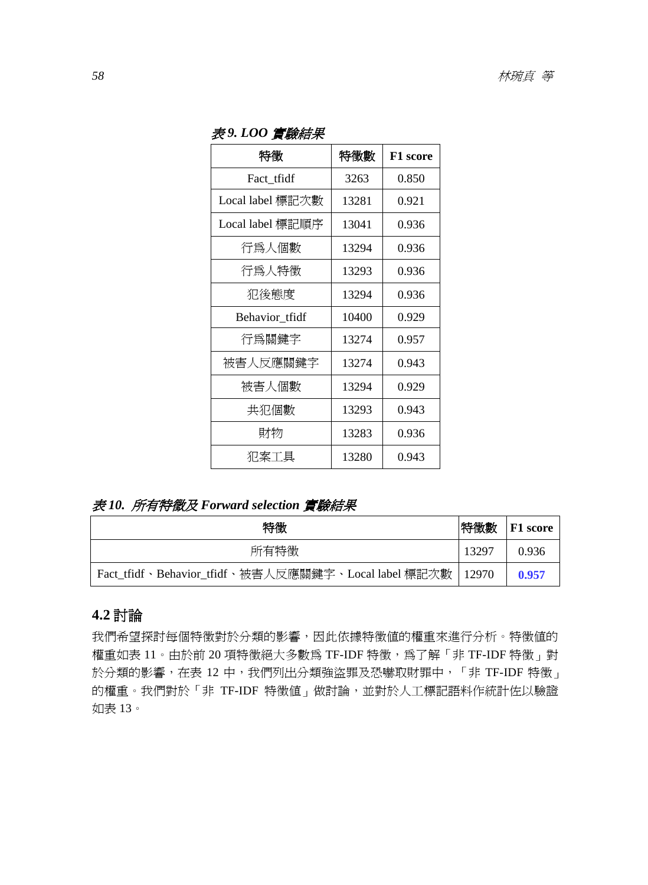| 2、"一",只"从"       |       |          |
|------------------|-------|----------|
| 特徴               | 特徵數   | F1 score |
| Fact tfidf       | 3263  | 0.850    |
| Local label 標記次數 | 13281 | 0.921    |
| Local label 標記順序 | 13041 | 0.936    |
| 行爲人個數            | 13294 | 0.936    |
| 行爲人特徵            | 13293 | 0.936    |
| 犯後態度             | 13294 | 0.936    |
| Behavior tfidf   | 10400 | 0.929    |
| 行爲關鍵字            | 13274 | 0.957    |
| 被害人反應關鍵字         | 13274 | 0.943    |
| 被害人個數            | 13294 | 0.929    |
| 共犯個數             | 13293 | 0.943    |
| 財物               | 13283 | 0.936    |
| 犯案工具             | 13280 | 0.943    |

表 *9. LOO* 實驗結果

# 表 *10.* 所有特徵及 *Forward selection* 實驗結果

| 特徵                                                          | 特徵數   | <b>F1</b> score |
|-------------------------------------------------------------|-------|-----------------|
| 所有特徵                                                        | 13297 | 0.936           |
| Fact_tfidf、Behavior_tfidf、被害人反應關鍵字、Local label 標記次數   12970 |       | 0.957           |

# **4.2** 討論

我們希望探討每個特徵對於分類的影響,因此依據特徵值的權重來進行分析。特徵值的 權重如表 11。由於前 20 項特徵絕大多數為 TF-IDF 特徵,為了解「非 TF-IDF 特徵」對 於分類的影響,在表 12 中,我們列出分類強盜罪及恐嚇取財罪中,「非 TF-IDF 特徵」 的權重。我們對於「非 TF-IDF 特徵值」做討論,並對於人工標記語料作統計佐以驗證 如表 13。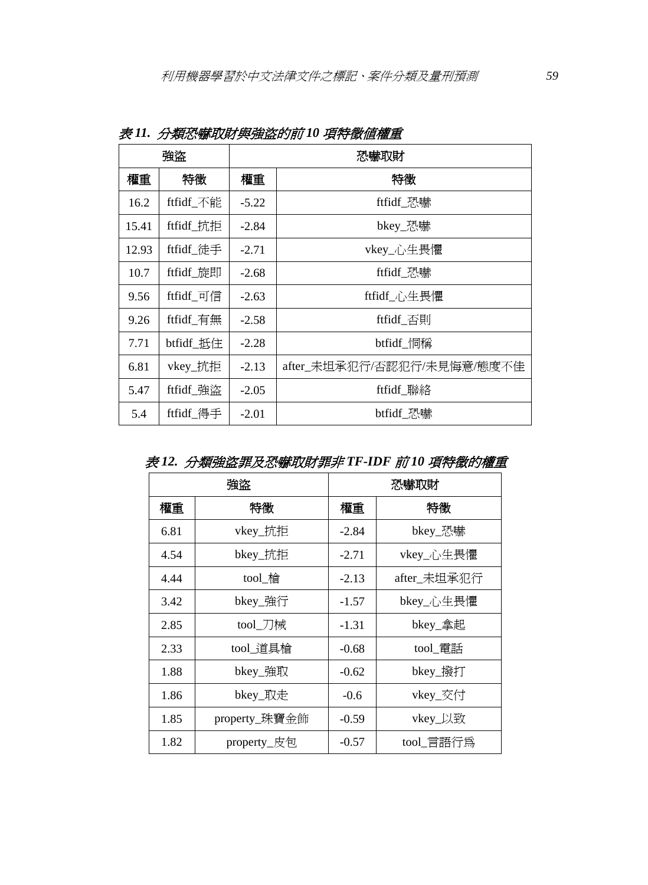| 強盜    |           |         | 恐嚇取財                       |
|-------|-----------|---------|----------------------------|
| 權重    | 特徵        | 權重      | 特徵                         |
| 16.2  | ftfidf_不能 | $-5.22$ | ftfidf_恐嚇                  |
| 15.41 | ftfidf_抗拒 | $-2.84$ | bkey_恐嚇                    |
| 12.93 | ftfidf_徒手 | $-2.71$ | vkey_心生畏懼                  |
| 10.7  | ftfidf 旋即 | $-2.68$ | ftfidf 恐嚇                  |
| 9.56  | ftfidf_可信 | $-2.63$ | ftfidf_心生畏懼                |
| 9.26  | ftfidf_有無 | $-2.58$ | ftfidf 否則                  |
| 7.71  | btfidf_抵住 | $-2.28$ | btfidf_恫稱                  |
| 6.81  | vkey_抗拒   | $-2.13$ | after_未坦承犯行/否認犯行/未見悔意/態度不佳 |
| 5.47  | ftfidf_強盜 | $-2.05$ | ftfidf_聯絡                  |
| 5.4   | ftfidf 得手 | $-2.01$ | btfidf 恐嚇                  |

表 *11.* 分類恐嚇取財與強盜的前 *10* 項特徵值權重

|      | 強盜            |         | 恐嚇取財        |
|------|---------------|---------|-------------|
| 權重   | 特徴            | 權重      | 特徵          |
| 6.81 | vkey_抗拒       | $-2.84$ | bkey_恐嚇     |
| 4.54 | bkey_抗拒       | $-2.71$ | vkey_心生畏懼   |
| 4.44 | tool_槍        | $-2.13$ | after_未坦承犯行 |
| 3.42 | bkey_強行       | $-1.57$ | bkey_心生畏懼   |
| 2.85 | tool_刀械       | $-1.31$ | bkey_拿起     |
| 2.33 | tool_道具槍      | $-0.68$ | tool_電話     |
| 1.88 | bkey_強取       | $-0.62$ | bkey_撥打     |
| 1.86 | bkey_取走       | $-0.6$  | vkey_交付     |
| 1.85 | property_珠寶金飾 | $-0.59$ | vkey_以致     |
| 1.82 | property_皮包   | $-0.57$ | tool_言語行爲   |

表 *12.* 分類強盜罪及恐嚇取財罪非 *TF-IDF* 前 *10* 項特徵的權重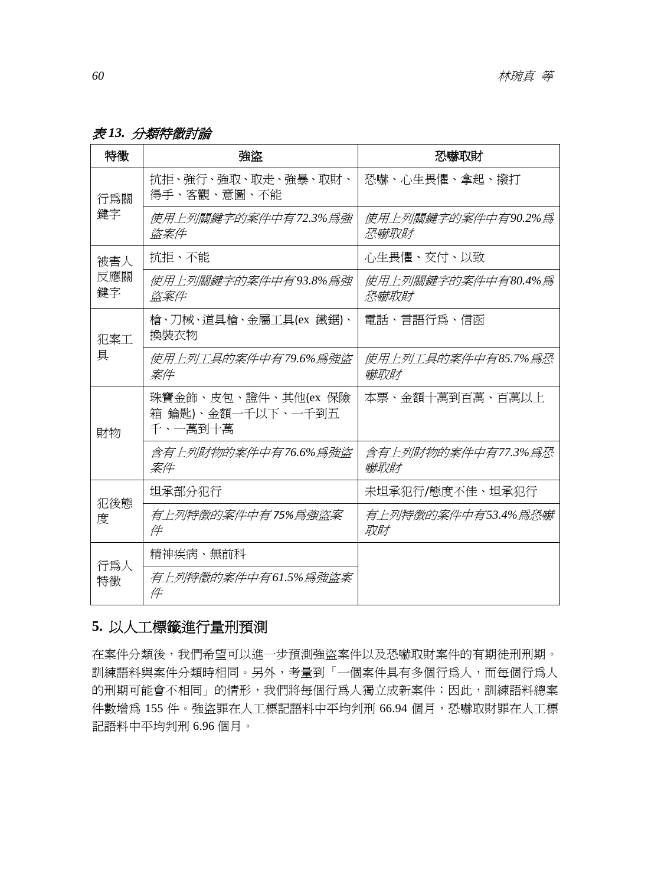表 *13.* 分類特徵討論

| 特徵        | 強盗                                                  | 恐嚇取財                       |
|-----------|-----------------------------------------------------|----------------------------|
| 行為關       | 抗拒、強行、強取、取走、強暴、取財、<br>得手、客觀、意圖、不能                   | 恐嚇、心生畏懼、拿起、撥打              |
| 鍵字        | 使用上列關鍵字的案件中有72.3%爲強<br>盗案件                          | 使用上列關鍵字的案件中有90.2%爲<br>恐嚇取財 |
| 被害人       | 抗拒、不能                                               | 心生畏懼、交付、以致                 |
| 反應關<br>鍵字 | 使用上列關鍵字的案件中有93.8%為強<br>盗案件                          | 使用上列關鍵字的案件中有80.4%為<br>恐嚇取財 |
| 犯案工       | 槍、刀械、道具槍、金屬工具(ex 鐵鋸)、<br>換裝衣物                       | 電話、言語行為、信函                 |
| 具         | 使用上列工具的案件中有79.6%為強盜<br>案件                           | 使用上列工具的案件中有85.7%爲恐<br>嚇取財  |
| 財物        | 珠寶金飾、皮包、證件、其他(ex 保險<br>箱 鑰匙)、金額一千以下、一千到五<br>千、一萬到十萬 | 本票、金額十萬到百萬、百萬以上            |
|           | 含有上列財物的案件中有76.6%爲強盜<br>案件                           | 含有上列財物的案件中有77.3%爲恐<br>嚇取財  |
| 犯後熊       | 坦承部分犯行                                              | 未坦承犯行/熊度不佳、坦承犯行            |
| 度         | 有上列特徵的案件中有75%爲強盜案<br>件                              | 有上列特徵的案件中有53.4%為恐嚇<br>取財   |
| 行為人       | 精神疾病、無前科                                            |                            |
| 特徵        | 有上列特徵的案件中有61.5%爲強盜案<br>14                           |                            |

# **5.** 以人工標籤進行量刑預測

在案件分類後,我們希望可以進一步預測強盜案件以及恐嚇取財案件的有期徒刑刑期。 訓練語料與案件分類時相同。另外,考量到「一個案件具有多個行為人,而每個行為人 的刑期可能會不相同」的情形,我們將每個行為人獨立成新案件;因此,訓練語料總案 件數增為 155 件。強盜罪在人工標記語料中平均判刑 66.94 個月,恐嚇取財罪在人工標 記語料中平均判刑 6.96 個月。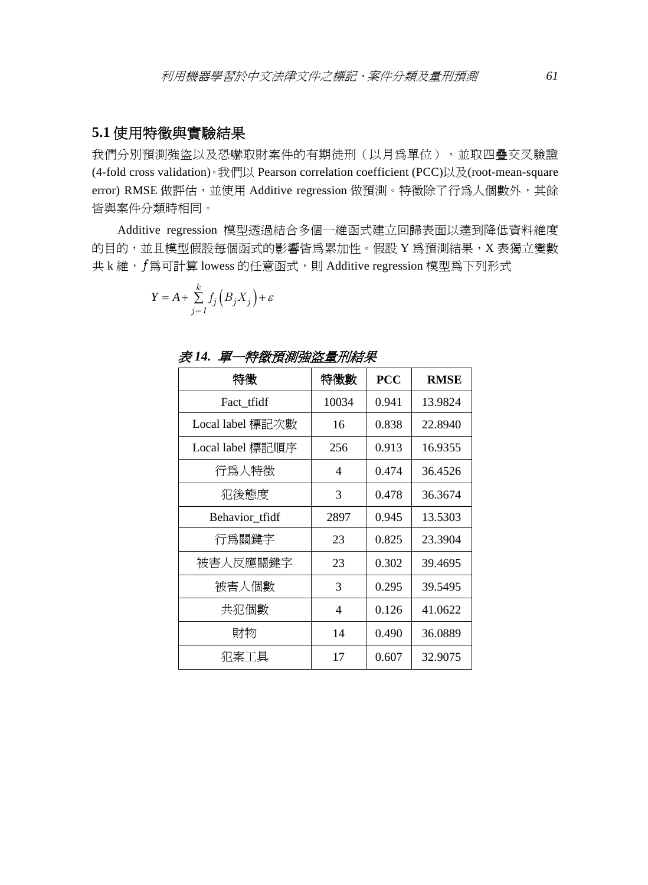## **5.1** 使用特徵與實驗結果

我們分別預測強盜以及恐嚇取財案件的有期徒刑(以月為單位),並取四疊交叉驗證 (4-fold cross validation)。我們以 Pearson correlation coefficient (PCC)以及(root-mean-square error) RMSE 做評估,並使用 Additive regression 做預測。特徵除了行為人個數外,其餘 皆與案件分類時相同。

Additive regression 模型透過結合多個一維函式建立回歸表面以達到降低資料維度 的目的,並且模型假設每個函式的影響皆為累加性。假設 Y 為預測結果, X 表獨立變數 共 k 維, f 為可計算 lowess 的任意函式,則 Additive regression 模型為下列形式

$$
Y = A + \sum_{j=1}^{k} f_j \left( B_j X_j \right) + \varepsilon
$$

| 特徵               | 特徵數   | <b>PCC</b> | <b>RMSE</b> |
|------------------|-------|------------|-------------|
| Fact_tfidf       | 10034 | 0.941      | 13.9824     |
| Local label 標記次數 | 16    | 0.838      | 22.8940     |
| Local label 標記順序 | 256   | 0.913      | 16.9355     |
| 行爲人特徵            | 4     | 0.474      | 36.4526     |
| 犯後態度             | 3     | 0.478      | 36.3674     |
| Behavior_tfidf   | 2897  | 0.945      | 13.5303     |
| 行爲關鍵字            | 23    | 0.825      | 23.3904     |
| 被害人反應關鍵字         | 23    | 0.302      | 39.4695     |
| 被害人個數            | 3     | 0.295      | 39.5495     |
| 共犯個數             | 4     | 0.126      | 41.0622     |
| 財物               | 14    | 0.490      | 36.0889     |
| 犯案工具             | 17    | 0.607      | 32.9075     |

表 *14.* 單一特徵預測強盜量刑結果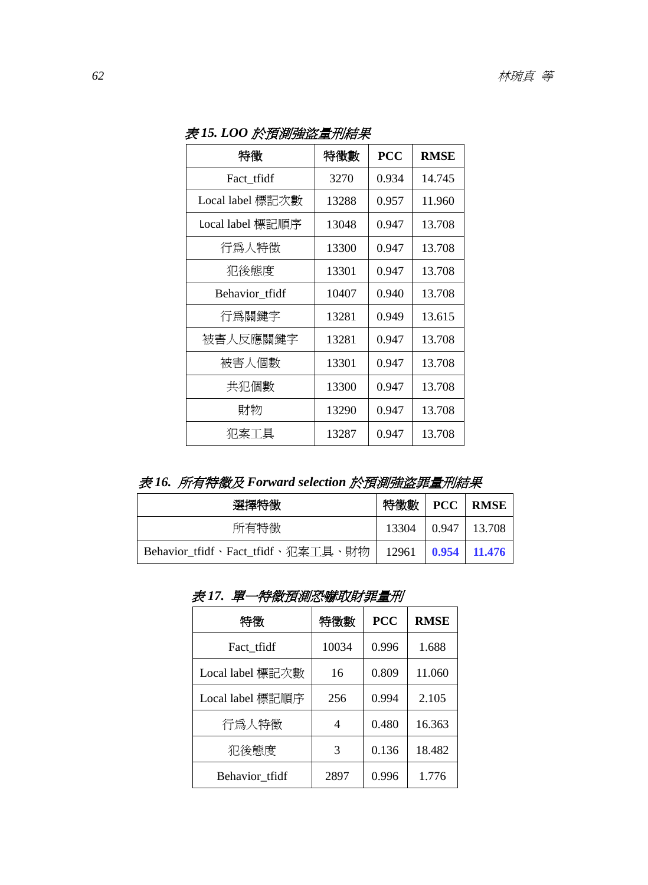| 特徵               | 特徵數   | <b>PCC</b> | <b>RMSE</b> |
|------------------|-------|------------|-------------|
| Fact_tfidf       | 3270  | 0.934      | 14.745      |
| Local label 標記次數 | 13288 | 0.957      | 11.960      |
| Local label 標記順序 | 13048 | 0.947      | 13.708      |
| 行爲人特徵            | 13300 | 0.947      | 13.708      |
| 犯後態度             | 13301 | 0.947      | 13.708      |
| Behavior tfidf   | 10407 | 0.940      | 13.708      |
| 行爲關鍵字            | 13281 | 0.949      | 13.615      |
| 被害人反應關鍵字         | 13281 | 0.947      | 13.708      |
| 被害人個數            | 13301 | 0.947      | 13.708      |
| 共犯個數             | 13300 | 0.947      | 13.708      |
| 財物               | 13290 | 0.947      | 13.708      |
| 犯案工具             | 13287 | 0.947      | 13.708      |

表 *15. LOO* 於預測強盜量刑結果

表 *16.* 所有特徵及 *Forward selection* 於預測強盜罪量刑結果

| .                                 | ~~~~~~~~~ <u>~~</u> ~~~~~~~~~~~~~~~~~ |       |                 |
|-----------------------------------|---------------------------------------|-------|-----------------|
| 選擇特徵                              | 特徵數                                   |       | <b>PCC</b> RMSE |
| 所有特徵                              | 13304                                 | 0.947 | 13.708          |
| Behavior_tfidf、Fact_tfidf、犯案工具、財物 | 12961                                 |       | $0.954$ 11.476  |

表 *17.* 單一特徵預測恐嚇取財罪量刑

| 特徵               | 特徵數   | <b>PCC</b> | <b>RMSE</b> |
|------------------|-------|------------|-------------|
| Fact_tfidf       | 10034 | 0.996      | 1.688       |
| Local label 標記次數 | 16    | 0.809      | 11.060      |
| Local label 標記順序 | 256   | 0.994      | 2.105       |
| 行為人特徵            |       | 0.480      | 16.363      |
| 犯後態度             | 3     | 0.136      | 18.482      |
| Behavior_tfidf   | 2897  | 0.996      | 1.776       |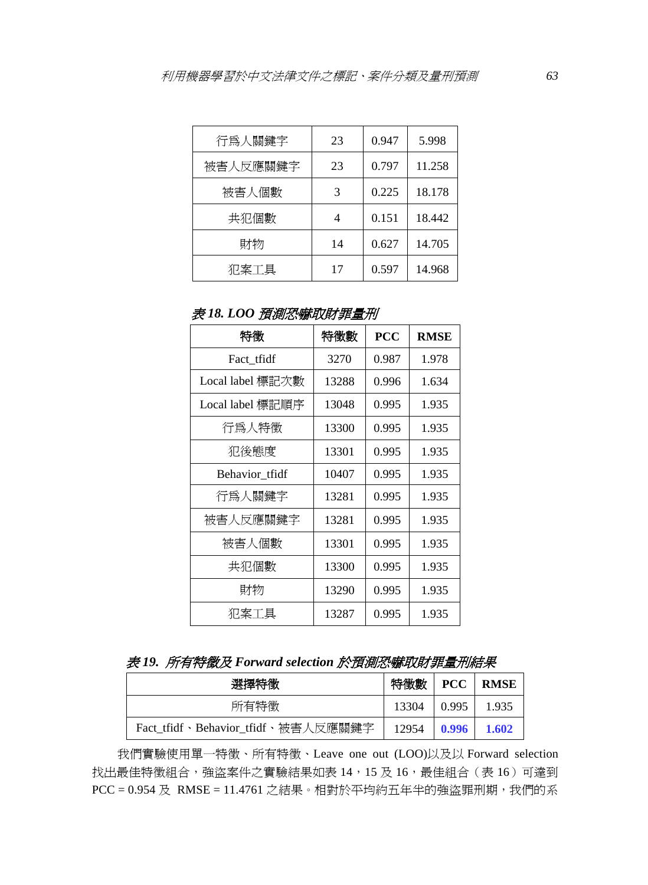| 行爲人關鍵字   | 23 | 0.947 | 5.998  |
|----------|----|-------|--------|
| 被害人反應關鍵字 | 23 | 0.797 | 11.258 |
| 被害人個數    |    | 0.225 | 18.178 |
| 共犯個數     |    | 0.151 | 18.442 |
| 財物       | 14 | 0.627 | 14.705 |
| 犯案工具     | 17 | 0.597 | 14.968 |

表 *18. LOO* 預測恐嚇取財罪量刑

| 特徵               | 特徵數   | <b>PCC</b> | <b>RMSE</b> |
|------------------|-------|------------|-------------|
| Fact_tfidf       | 3270  | 0.987      | 1.978       |
| Local label 標記次數 | 13288 | 0.996      | 1.634       |
| Local label 標記順序 | 13048 | 0.995      | 1.935       |
| 行爲人特徵            | 13300 | 0.995      | 1.935       |
| 犯後態度             | 13301 | 0.995      | 1.935       |
| Behavior tfidf   | 10407 | 0.995      | 1.935       |
| 行爲人關鍵字           | 13281 | 0.995      | 1.935       |
| 被害人反應關鍵字         | 13281 | 0.995      | 1.935       |
| 被害人個數            | 13301 | 0.995      | 1.935       |
| 共犯個數             | 13300 | 0.995      | 1.935       |
| 財物               | 13290 | 0.995      | 1.935       |
| 犯案工具             | 13287 | 0.995      | 1.935       |

|  |  |  | 表 19. 所有特徵及 Forward selection 於預測恐嚇取財罪量刑結果 |
|--|--|--|--------------------------------------------|
|--|--|--|--------------------------------------------|

| 選擇特徵                               | 特徵數   | <b>PCC</b> | <b>RMSE</b> |
|------------------------------------|-------|------------|-------------|
| 所有特徵                               | 13304 | 0.995      | 1.935       |
| Fact_tfidf、Behavior_tfidf、被害人反應關鍵字 | 12954 | 0.996      | 1.602       |

我們實驗使用單一特徵、所有特徵、Leave one out (LOO)以及以 Forward selection 找出最佳特徵組合,強盜案件之實驗結果如表 14,15 及 16,最佳組合(表 16)可達到  $PCC = 0.954 \nbox{ R}$  RMSE = 11.4761 之結果。相對於平均約五年半的強盜罪刑期,我們的系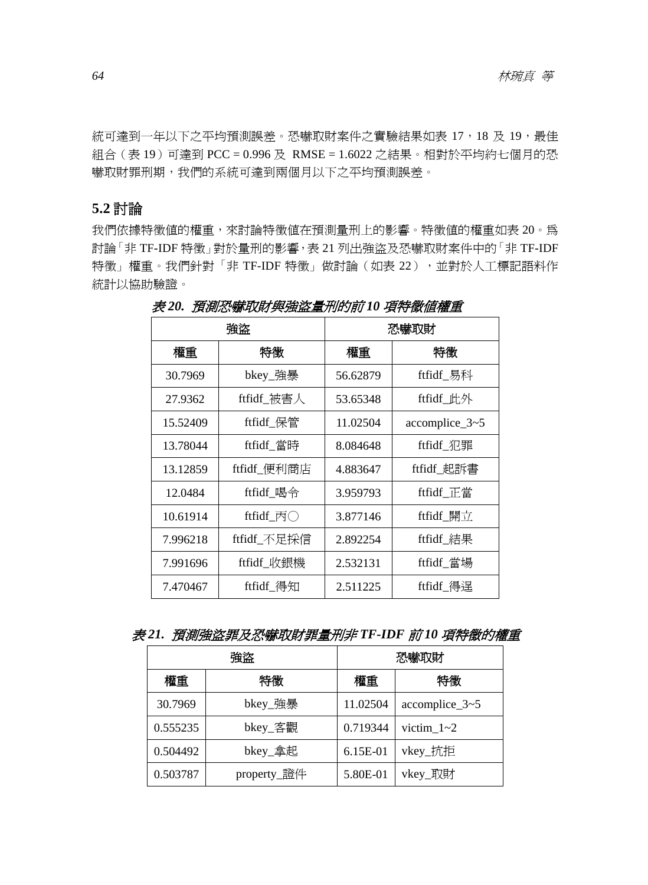統可達到一年以下之平均預測誤差。恐嚇取財案件之實驗結果如表 17,18 及 19,最佳 組合 (表 19)可達到 PCC = 0.996 及 RMSE = 1.6022 之結果。相對於平均約七個月的恐 嚇取財罪刑期,我們的系統可達到兩個月以下之平均預測誤差。

### **5.2** 討論

我們依據特徵值的權重,來討論特徵值在預測量刑上的影響。特徵值的權重如表 20。為 討論「非 TF-IDF 特徵」對於量刑的影響,表 21 列出強盜及恐嚇取財案件中的「非 TF-IDF 特徵」權重。我們針對「非 TF-IDF 特徵」做討論(如表 22),並對於人工標記語料作 統計以協助驗證。

|          | 強盗                     |          | 恐嚇取財             |
|----------|------------------------|----------|------------------|
| 權重       | 特徵                     | 權重       | 特徵               |
| 30.7969  | bkey_強暴                | 56.62879 | ftfidf_易科        |
| 27.9362  | ftfidf_被害人             | 53.65348 | ftfidf_此外        |
| 15.52409 | ftfidf_保管              | 11.02504 | $accomplace_3~5$ |
| 13.78044 | ftfidf_當時              | 8.084648 | ftfidf_犯罪        |
| 13.12859 | ftfidf_便利商店            | 4.883647 | ftfidf_起訴書       |
| 12.0484  | ftfidf_喝令              | 3.959793 | ftfidf 正當        |
| 10.61914 | ftfidf_ $\overline{p}$ | 3.877146 | ftfidf_開立        |
| 7.996218 | ftfidf_不足探信            | 2.892254 | ftfidf_結果        |
| 7.991696 | ftfidf_收銀機             | 2.532131 | ftfidf_當場        |
| 7.470467 | ftfidf 得知              | 2.511225 | ftfidf 得逞        |

表 *20.* 預測恐嚇取財與強盜量刑的前 *10* 項特徵值權重

表 *21.* 預測強盜罪及恐嚇取財罪量刑非 *TF-IDF* 前 *10* 項特徵的權重

| 強盗       |             | 恐嚇取財     |                  |  |
|----------|-------------|----------|------------------|--|
| 權重       | 特徵          | 特徵<br>權重 |                  |  |
| 30.7969  | bkey_強暴     | 11.02504 | $accomplace_3~5$ |  |
| 0.555235 | bkey_客觀     | 0.719344 | victim $1 - 2$   |  |
| 0.504492 | bkey_拿起     | 6.15E-01 | vkey_抗拒          |  |
| 0.503787 | property_證件 | 5.80E-01 | vkey_取財          |  |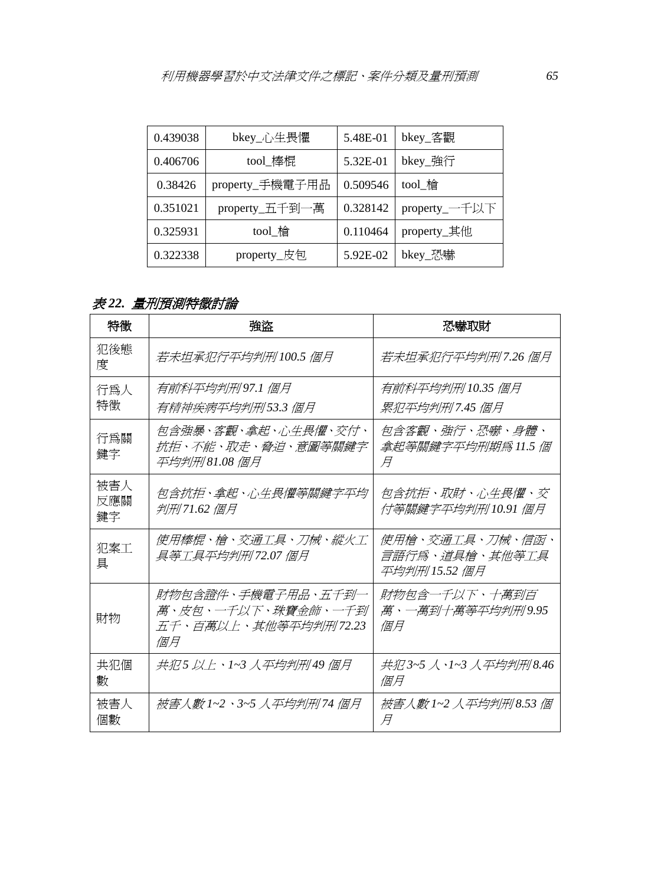| 0.439038 | bkey_心生畏懼       | 5.48E-01 | bkey_客觀       |  |
|----------|-----------------|----------|---------------|--|
| 0.406706 | tool_棒棍         | 5.32E-01 | bkey_強行       |  |
| 0.38426  | property_手機電子用品 | 0.509546 | tool 槍        |  |
| 0.351021 | property_五千到一萬  | 0.328142 | property_一千以下 |  |
| 0.325931 | tool_槍          | 0.110464 | property_其他   |  |
| 0.322338 | property_皮包     | 5.92E-02 | bkey_恐嚇       |  |

# 表 *22.* 量刑預測特徵討論

| 特徵               | 強盜                                                                     | 恐嚇取財                                               |
|------------------|------------------------------------------------------------------------|----------------------------------------------------|
| 犯後熊<br>度         | 若未坦承犯行平均判刑100.5個月                                                      | 若未坦承犯行平均判刑7.26 個月                                  |
| 行為人<br>特徵        | 有前科平均判刑97.1 個月<br>有精神疾病平均判刑53.3 個月                                     | 有前科平均判刑 10.35 個月<br>累犯平均判刑7.45 個月                  |
| 行爲關<br>鍵字        | 包含強暴、客觀、拿起、心生畏懼、交付、<br>抗拒、不能、取走、脅迫、意圖等關鍵字<br>平均判刑81.08 個月              | <i>包含客觀、強行、恐嚇、身體、</i><br>拿起等關鍵字平均刑期爲 11.5 個<br>H   |
| 被害人<br>反應關<br>鍵字 | 句含抗拒、拿起、心生畏懼等關鍵字平均<br>判刑71.62 個月                                       | 包含抗拒、取財、心生畏懼、交<br>付等關鍵字平均判刑10.91 個月                |
| 犯案工<br>具         | 使用棒棍・槍・交通工具・刀械・縱火工<br>具等工具平均判刑72.07 個月                                 | 使用槍、交通工具、刀械、信函、<br>言語行爲、道具槍、其他等工具<br>平均判刑 15.52 個月 |
| 財物               | 財物包含證件、手機雷子用品、五千到一<br>萬、皮包、一千以下、珠寶金飾、一千到<br>五千、百萬以上、其他等平均判刑72.23<br>個月 | 財物包含一千以下、十萬到百<br><i>萬、一萬到十萬等平均判刑9.95</i><br>倘月     |
| 共犯個<br>數         | 共犯 5 以上、1~3 人平均判刑49 個月                                                 | 共犯 3~5 人、1~3 人平均判刑 8.46<br>個月                      |
| 被害人<br>個數        | 被害人數 1~2、3~5 人平均判刑74 個月                                                | 被害人數 1~2 人平均判刑 8.53 個<br>Ħ                         |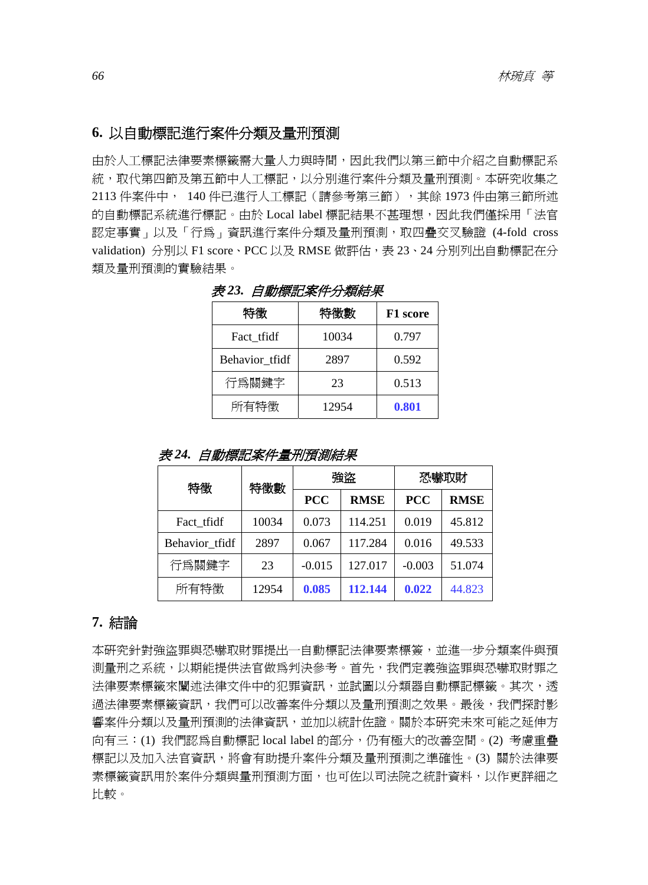## **6.** 以自動標記進行案件分類及量刑預測

由於人工標記法律要素標籤需大量人力與時間,因此我們以第三節中介紹之自動標記系 統,取代第四節及第五節中人工標記,以分別進行案件分類及量刑預測。本研究收集之 2113 件案件中, 140 件已進行人工標記(請參考第三節),其餘 1973 件由第三節所述 的自動標記系統進行標記。由於 Local label 標記結果不甚理想,因此我們僅採用「法官 認定事實」以及「行為」資訊進行案件分類及量刑預測,取四疊交叉驗證 (4-fold cross validation) 分別以 F1 score、PCC 以及 RMSE 做評估,表 23、24 分別列出自動標記在分 類及量刑預測的實驗結果。

| 特徵             | 特徵數   | F1 score |  |  |
|----------------|-------|----------|--|--|
| Fact tfidf     | 10034 | 0.797    |  |  |
| Behavior tfidf | 2897  | 0.592    |  |  |
| 行爲關鍵字          | 23    | 0.513    |  |  |
| 所有特徵           | 12954 | 0.801    |  |  |

表 *23.* 自動標記案件分類結果

表 *24.* 自動標記案件量刑預測結果

| 特徵             | 特徵數   | 強盗         |             | 恐嚇取財       |             |
|----------------|-------|------------|-------------|------------|-------------|
|                |       | <b>PCC</b> | <b>RMSE</b> | <b>PCC</b> | <b>RMSE</b> |
| Fact tfidf     | 10034 | 0.073      | 114.251     | 0.019      | 45.812      |
| Behavior tfidf | 2897  | 0.067      | 117.284     | 0.016      | 49.533      |
| 行爲關鍵字          | 23    | $-0.015$   | 127.017     | $-0.003$   | 51.074      |
| 所有特徵           | 12954 | 0.085      | 112.144     | 0.022      | 44.823      |

#### **7.** 結論

本研究針對強盜罪與恐嚇取財罪提出一自動標記法律要素標簽,並進一步分類案件與預 測量刑之系統,以期能提供法官做為判決參考。首先,我們定義強盜罪與恐嚇取財罪之 法律要素標籤來闡述法律文件中的犯罪資訊,並試圖以分類器自動標記標籤。其次,透 過法律要素標籤資訊,我們可以改善案件分類以及量刑預測之效果。最後,我們探討影 響案件分類以及量刑預測的法律資訊,並加以統計佐證。關於本研究未來可能之延伸方 向有三:(1) 我們認為自動標記 local label 的部分,仍有極大的改善空間。(2) 考慮重疊 標記以及加入法官資訊,將會有助提升案件分類及量刑預測之準確性。(3) 關於法律要 素標籤資訊用於案件分類與量刑預測方面,也可佐以司法院之統計資料,以作更詳細之 比較。